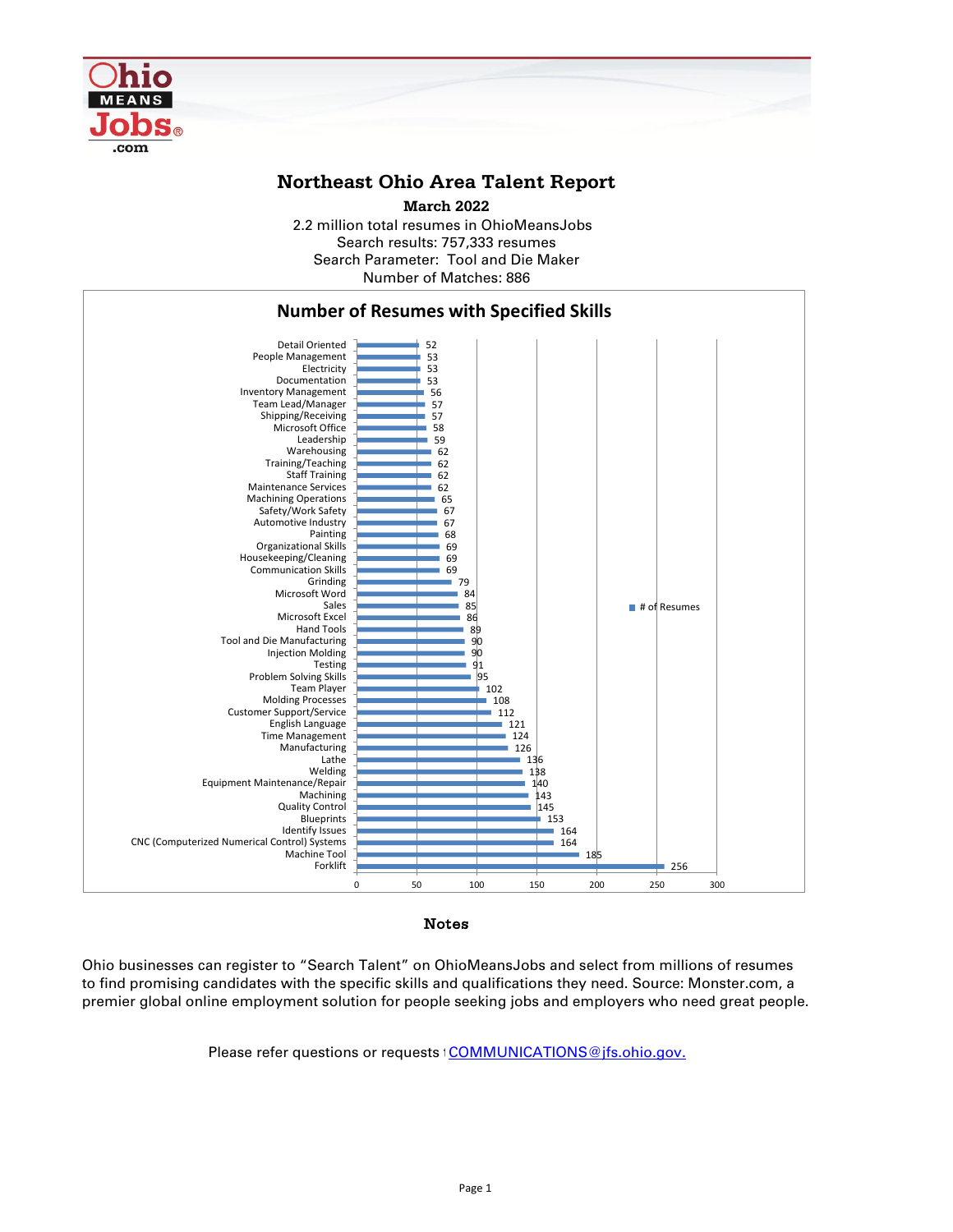

## **Northeast Ohio Area Talent Report**

2.2 million total resumes in OhioMeansJobs Search results: 757,333 resumes Number of Matches: 886 Search Parameter: Tool and Die Maker **March 2022**



Notes

Ohio businesses can register to "Search Talent" on OhioMeansJobs and select from millions of resumes to find promising candidates with the specific skills and qualifications they need. Source: Monster.com, a premier global online employment solution for people seeking jobs and employers who need great people.

Please refer questions or requests [t COMMUNICATIONS@jfs.ohio.gov.](mailto:COMMUNICATIONS@jfs.ohio.gov.)